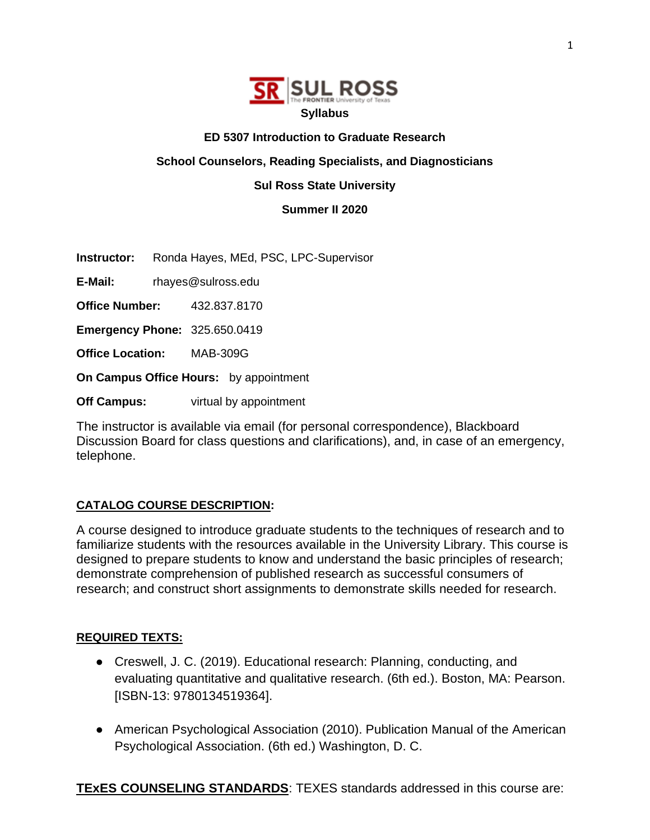

#### **ED 5307 Introduction to Graduate Research**

**School Counselors, Reading Specialists, and Diagnosticians**

## **Sul Ross State University**

**Summer II 2020**

**Instructor:** Ronda Hayes, MEd, PSC, LPC-Supervisor

**E-Mail:** rhayes@sulross.edu

**Office Number:** 432.837.8170

**Emergency Phone:** 325.650.0419

**Office Location:** MAB-309G

**On Campus Office Hours:** by appointment

**Off Campus:** virtual by appointment

The instructor is available via email (for personal correspondence), Blackboard Discussion Board for class questions and clarifications), and, in case of an emergency, telephone.

## **CATALOG COURSE DESCRIPTION:**

A course designed to introduce graduate students to the techniques of research and to familiarize students with the resources available in the University Library. This course is designed to prepare students to know and understand the basic principles of research; demonstrate comprehension of published research as successful consumers of research; and construct short assignments to demonstrate skills needed for research.

## **REQUIRED TEXTS:**

- Creswell, J. C. (2019). Educational research: Planning, conducting, and evaluating quantitative and qualitative research. (6th ed.). Boston, MA: Pearson. [ISBN-13: 9780134519364].
- American Psychological Association (2010). Publication Manual of the American Psychological Association. (6th ed.) Washington, D. C.

**TExES COUNSELING STANDARDS**: TEXES standards addressed in this course are: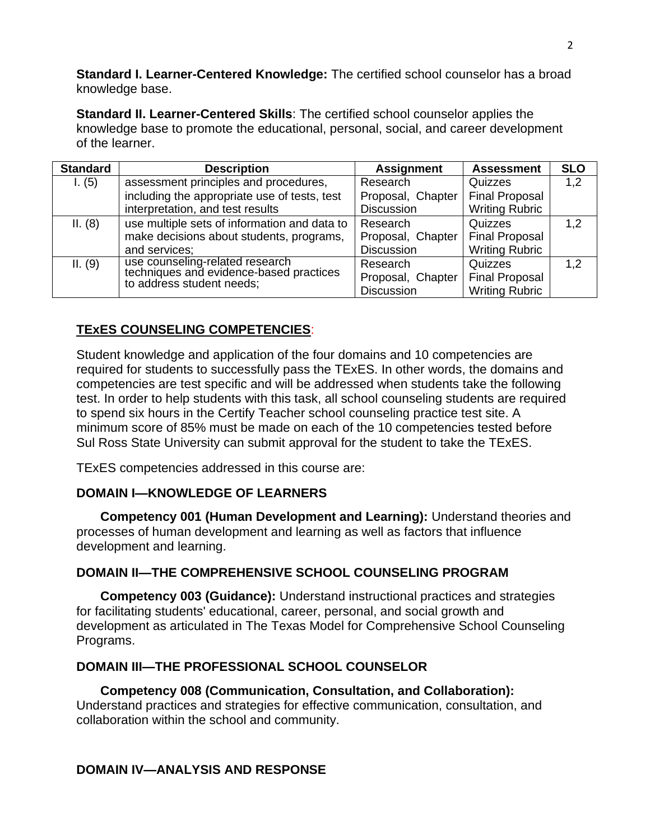**Standard I. Learner-Centered Knowledge:** The certified school counselor has a broad knowledge base.

**Standard II. Learner-Centered Skills**: The certified school counselor applies the knowledge base to promote the educational, personal, social, and career development of the learner.

| <b>Standard</b> | <b>Description</b>                                                         | <b>Assignment</b> | <b>Assessment</b>     | <b>SLO</b> |
|-----------------|----------------------------------------------------------------------------|-------------------|-----------------------|------------|
| 1. (5)          | assessment principles and procedures,                                      | Research          | Quizzes               | 1,2        |
|                 | including the appropriate use of tests, test                               | Proposal, Chapter | <b>Final Proposal</b> |            |
|                 | interpretation, and test results                                           | <b>Discussion</b> | <b>Writing Rubric</b> |            |
| II. (8)         | use multiple sets of information and data to                               | Research          | Quizzes               | 1,2        |
|                 | make decisions about students, programs,                                   | Proposal, Chapter | <b>Final Proposal</b> |            |
|                 | and services;                                                              | <b>Discussion</b> | <b>Writing Rubric</b> |            |
| II. (9)         | use counseling-related research<br>techniques and evidence-based practices | Research          | Quizzes               | 1,2        |
|                 | to address student needs;                                                  | Proposal, Chapter | <b>Final Proposal</b> |            |
|                 |                                                                            | <b>Discussion</b> | <b>Writing Rubric</b> |            |

# **TExES COUNSELING COMPETENCIES**:

Student knowledge and application of the four domains and 10 competencies are required for students to successfully pass the TExES. In other words, the domains and competencies are test specific and will be addressed when students take the following test. In order to help students with this task, all school counseling students are required to spend six hours in the Certify Teacher school counseling practice test site. A minimum score of 85% must be made on each of the 10 competencies tested before Sul Ross State University can submit approval for the student to take the TExES.

TExES competencies addressed in this course are:

## **DOMAIN I—KNOWLEDGE OF LEARNERS**

**Competency 001 (Human Development and Learning):** Understand theories and processes of human development and learning as well as factors that influence development and learning.

## **DOMAIN II—THE COMPREHENSIVE SCHOOL COUNSELING PROGRAM**

**Competency 003 (Guidance):** Understand instructional practices and strategies for facilitating students' educational, career, personal, and social growth and development as articulated in The Texas Model for Comprehensive School Counseling Programs.

## **DOMAIN III—THE PROFESSIONAL SCHOOL COUNSELOR**

**Competency 008 (Communication, Consultation, and Collaboration):**  Understand practices and strategies for effective communication, consultation, and collaboration within the school and community.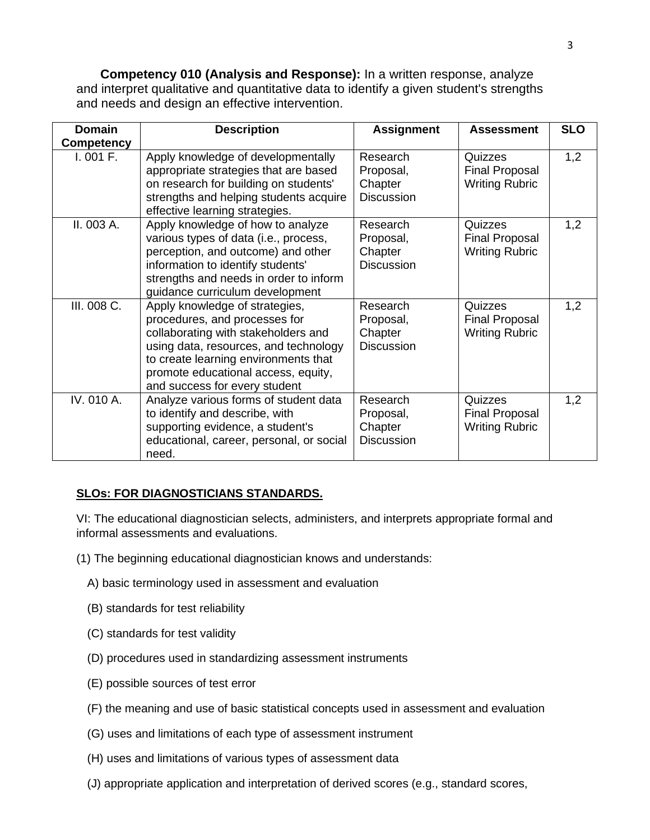**Competency 010 (Analysis and Response):** In a written response, analyze and interpret qualitative and quantitative data to identify a given student's strengths and needs and design an effective intervention.

| <b>Domain</b>     | <b>Description</b>                                                                                                                                                                                                                                              | <b>Assignment</b>                                     | <b>Assessment</b>                                         | <b>SLO</b> |
|-------------------|-----------------------------------------------------------------------------------------------------------------------------------------------------------------------------------------------------------------------------------------------------------------|-------------------------------------------------------|-----------------------------------------------------------|------------|
| <b>Competency</b> |                                                                                                                                                                                                                                                                 |                                                       |                                                           |            |
| I.001 F.          | Apply knowledge of developmentally<br>appropriate strategies that are based<br>on research for building on students'<br>strengths and helping students acquire<br>effective learning strategies.                                                                | Research<br>Proposal,<br>Chapter<br><b>Discussion</b> | Quizzes<br><b>Final Proposal</b><br><b>Writing Rubric</b> | 1,2        |
| II. 003 A.        | Apply knowledge of how to analyze<br>various types of data (i.e., process,<br>perception, and outcome) and other<br>information to identify students'<br>strengths and needs in order to inform<br>guidance curriculum development                              | Research<br>Proposal,<br>Chapter<br><b>Discussion</b> | Quizzes<br><b>Final Proposal</b><br><b>Writing Rubric</b> | 1,2        |
| III. 008 C.       | Apply knowledge of strategies,<br>procedures, and processes for<br>collaborating with stakeholders and<br>using data, resources, and technology<br>to create learning environments that<br>promote educational access, equity,<br>and success for every student | Research<br>Proposal,<br>Chapter<br><b>Discussion</b> | Quizzes<br><b>Final Proposal</b><br><b>Writing Rubric</b> | 1,2        |
| IV. 010 A.        | Analyze various forms of student data<br>to identify and describe, with<br>supporting evidence, a student's<br>educational, career, personal, or social<br>need.                                                                                                | Research<br>Proposal,<br>Chapter<br><b>Discussion</b> | Quizzes<br><b>Final Proposal</b><br><b>Writing Rubric</b> | 1,2        |

# **SLOs: FOR DIAGNOSTICIANS STANDARDS.**

VI: The educational diagnostician selects, administers, and interprets appropriate formal and informal assessments and evaluations.

- (1) The beginning educational diagnostician knows and understands:
	- A) basic terminology used in assessment and evaluation
	- (B) standards for test reliability
	- (C) standards for test validity
	- (D) procedures used in standardizing assessment instruments
	- (E) possible sources of test error
	- (F) the meaning and use of basic statistical concepts used in assessment and evaluation
	- (G) uses and limitations of each type of assessment instrument
	- (H) uses and limitations of various types of assessment data
	- (J) appropriate application and interpretation of derived scores (e.g., standard scores,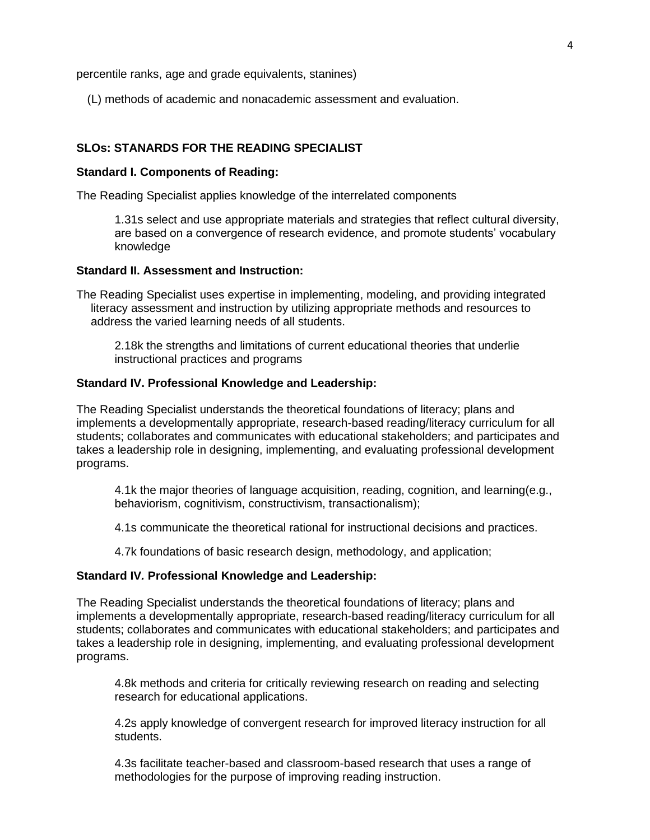percentile ranks, age and grade equivalents, stanines)

(L) methods of academic and nonacademic assessment and evaluation.

#### **SLOs: STANARDS FOR THE READING SPECIALIST**

#### **Standard I. Components of Reading:**

The Reading Specialist applies knowledge of the interrelated components

1.31s select and use appropriate materials and strategies that reflect cultural diversity, are based on a convergence of research evidence, and promote students' vocabulary knowledge

#### **Standard II. Assessment and Instruction:**

The Reading Specialist uses expertise in implementing, modeling, and providing integrated literacy assessment and instruction by utilizing appropriate methods and resources to address the varied learning needs of all students.

2.18k the strengths and limitations of current educational theories that underlie instructional practices and programs

#### **Standard IV. Professional Knowledge and Leadership:**

The Reading Specialist understands the theoretical foundations of literacy; plans and implements a developmentally appropriate, research-based reading/literacy curriculum for all students; collaborates and communicates with educational stakeholders; and participates and takes a leadership role in designing, implementing, and evaluating professional development programs.

4.1k the major theories of language acquisition, reading, cognition, and learning(e.g., behaviorism, cognitivism, constructivism, transactionalism);

4.1s communicate the theoretical rational for instructional decisions and practices.

4.7k foundations of basic research design, methodology, and application;

#### **Standard IV***.* **Professional Knowledge and Leadership:**

The Reading Specialist understands the theoretical foundations of literacy; plans and implements a developmentally appropriate, research-based reading/literacy curriculum for all students; collaborates and communicates with educational stakeholders; and participates and takes a leadership role in designing, implementing, and evaluating professional development programs.

4.8k methods and criteria for critically reviewing research on reading and selecting research for educational applications.

4.2s apply knowledge of convergent research for improved literacy instruction for all students.

4.3s facilitate teacher-based and classroom-based research that uses a range of methodologies for the purpose of improving reading instruction.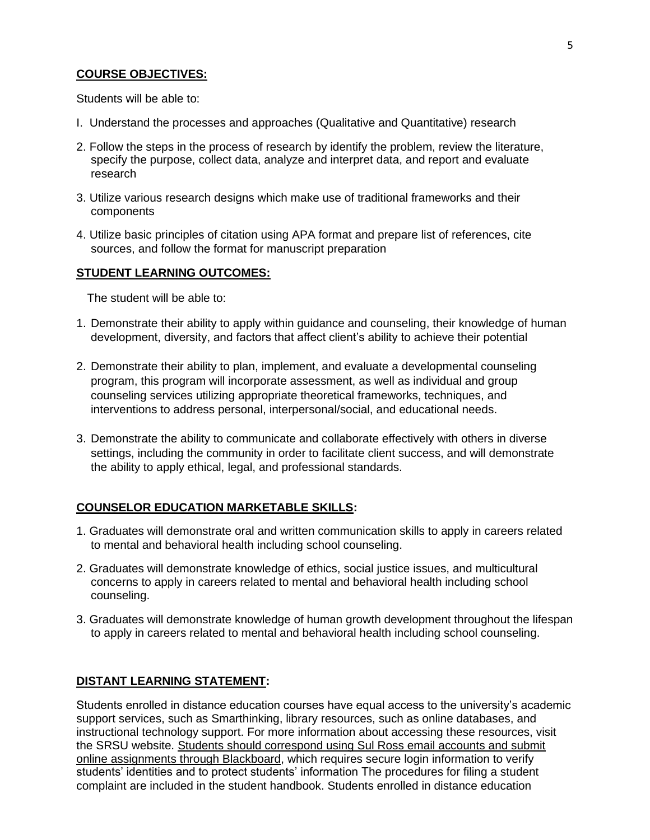#### **COURSE OBJECTIVES:**

Students will be able to:

- I. Understand the processes and approaches (Qualitative and Quantitative) research
- 2. Follow the steps in the process of research by identify the problem, review the literature, specify the purpose, collect data, analyze and interpret data, and report and evaluate research
- 3. Utilize various research designs which make use of traditional frameworks and their components
- 4. Utilize basic principles of citation using APA format and prepare list of references, cite sources, and follow the format for manuscript preparation

#### **STUDENT LEARNING OUTCOMES:**

The student will be able to:

- 1. Demonstrate their ability to apply within guidance and counseling, their knowledge of human development, diversity, and factors that affect client's ability to achieve their potential
- 2. Demonstrate their ability to plan, implement, and evaluate a developmental counseling program, this program will incorporate assessment, as well as individual and group counseling services utilizing appropriate theoretical frameworks, techniques, and interventions to address personal, interpersonal/social, and educational needs.
- 3. Demonstrate the ability to communicate and collaborate effectively with others in diverse settings, including the community in order to facilitate client success, and will demonstrate the ability to apply ethical, legal, and professional standards.

#### **COUNSELOR EDUCATION MARKETABLE SKILLS:**

- 1. Graduates will demonstrate oral and written communication skills to apply in careers related to mental and behavioral health including school counseling.
- 2. Graduates will demonstrate knowledge of ethics, social justice issues, and multicultural concerns to apply in careers related to mental and behavioral health including school counseling.
- 3. Graduates will demonstrate knowledge of human growth development throughout the lifespan to apply in careers related to mental and behavioral health including school counseling.

#### **DISTANT LEARNING STATEMENT:**

Students enrolled in distance education courses have equal access to the university's academic support services, such as Smarthinking, library resources, such as online databases, and instructional technology support. For more information about accessing these resources, visit the SRSU website. Students should correspond using Sul Ross email accounts and submit online assignments through Blackboard, which requires secure login information to verify students' identities and to protect students' information The procedures for filing a student complaint are included in the student handbook. Students enrolled in distance education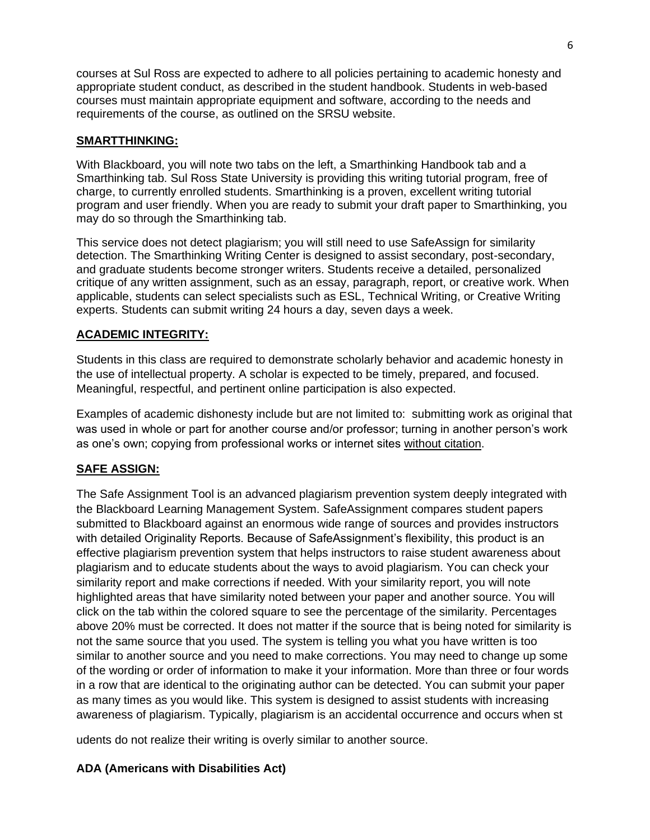courses at Sul Ross are expected to adhere to all policies pertaining to academic honesty and appropriate student conduct, as described in the student handbook. Students in web-based courses must maintain appropriate equipment and software, according to the needs and requirements of the course, as outlined on the SRSU website.

## **SMARTTHINKING:**

With Blackboard, you will note two tabs on the left, a Smarthinking Handbook tab and a Smarthinking tab. Sul Ross State University is providing this writing tutorial program, free of charge, to currently enrolled students. Smarthinking is a proven, excellent writing tutorial program and user friendly. When you are ready to submit your draft paper to Smarthinking, you may do so through the Smarthinking tab.

This service does not detect plagiarism; you will still need to use SafeAssign for similarity detection. The Smarthinking Writing Center is designed to assist secondary, post-secondary, and graduate students become stronger writers. Students receive a detailed, personalized critique of any written assignment, such as an essay, paragraph, report, or creative work. When applicable, students can select specialists such as ESL, Technical Writing, or Creative Writing experts. Students can submit writing 24 hours a day, seven days a week.

## **ACADEMIC INTEGRITY:**

Students in this class are required to demonstrate scholarly behavior and academic honesty in the use of intellectual property. A scholar is expected to be timely, prepared, and focused. Meaningful, respectful, and pertinent online participation is also expected.

Examples of academic dishonesty include but are not limited to: submitting work as original that was used in whole or part for another course and/or professor; turning in another person's work as one's own; copying from professional works or internet sites without citation.

## **SAFE ASSIGN:**

The Safe Assignment Tool is an advanced plagiarism prevention system deeply integrated with the Blackboard Learning Management System. SafeAssignment compares student papers submitted to Blackboard against an enormous wide range of sources and provides instructors with detailed Originality Reports. Because of SafeAssignment's flexibility, this product is an effective plagiarism prevention system that helps instructors to raise student awareness about plagiarism and to educate students about the ways to avoid plagiarism. You can check your similarity report and make corrections if needed. With your similarity report, you will note highlighted areas that have similarity noted between your paper and another source. You will click on the tab within the colored square to see the percentage of the similarity. Percentages above 20% must be corrected. It does not matter if the source that is being noted for similarity is not the same source that you used. The system is telling you what you have written is too similar to another source and you need to make corrections. You may need to change up some of the wording or order of information to make it your information. More than three or four words in a row that are identical to the originating author can be detected. You can submit your paper as many times as you would like. This system is designed to assist students with increasing awareness of plagiarism. Typically, plagiarism is an accidental occurrence and occurs when st

udents do not realize their writing is overly similar to another source.

## **ADA (Americans with Disabilities Act)**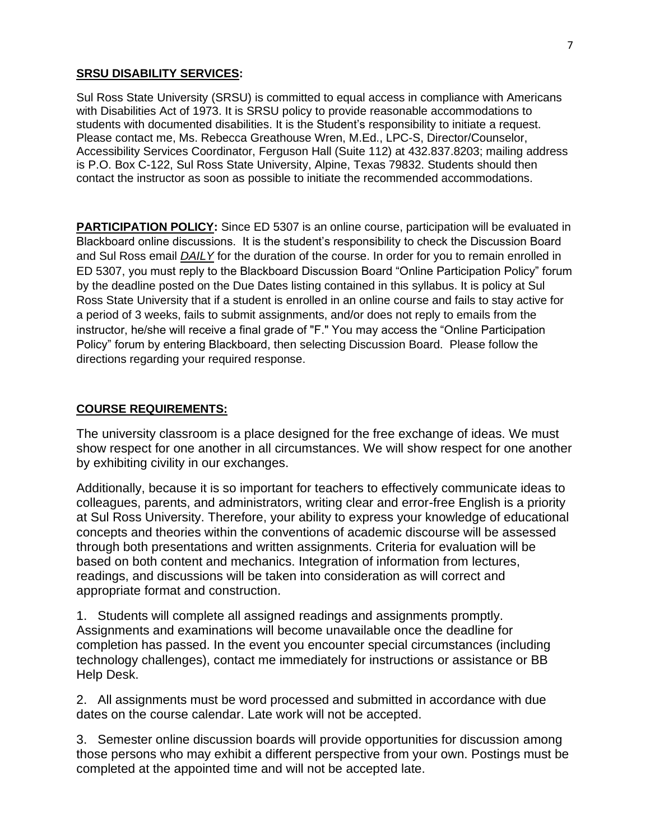#### **SRSU DISABILITY SERVICES:**

Sul Ross State University (SRSU) is committed to equal access in compliance with Americans with Disabilities Act of 1973. It is SRSU policy to provide reasonable accommodations to students with documented disabilities. It is the Student's responsibility to initiate a request. Please contact me, Ms. Rebecca Greathouse Wren, M.Ed., LPC-S, Director/Counselor, Accessibility Services Coordinator, Ferguson Hall (Suite 112) at 432.837.8203; mailing address is P.O. Box C-122, Sul Ross State University, Alpine, Texas 79832. Students should then contact the instructor as soon as possible to initiate the recommended accommodations.

**PARTICIPATION POLICY:** Since ED 5307 is an online course, participation will be evaluated in Blackboard online discussions. It is the student's responsibility to check the Discussion Board and Sul Ross email *DAILY* for the duration of the course. In order for you to remain enrolled in ED 5307, you must reply to the Blackboard Discussion Board "Online Participation Policy" forum by the deadline posted on the Due Dates listing contained in this syllabus. It is policy at Sul Ross State University that if a student is enrolled in an online course and fails to stay active for a period of 3 weeks, fails to submit assignments, and/or does not reply to emails from the instructor, he/she will receive a final grade of "F." You may access the "Online Participation Policy" forum by entering Blackboard, then selecting Discussion Board. Please follow the directions regarding your required response.

#### **COURSE REQUIREMENTS:**

The university classroom is a place designed for the free exchange of ideas. We must show respect for one another in all circumstances. We will show respect for one another by exhibiting civility in our exchanges.

Additionally, because it is so important for teachers to effectively communicate ideas to colleagues, parents, and administrators, writing clear and error-free English is a priority at Sul Ross University. Therefore, your ability to express your knowledge of educational concepts and theories within the conventions of academic discourse will be assessed through both presentations and written assignments. Criteria for evaluation will be based on both content and mechanics. Integration of information from lectures, readings, and discussions will be taken into consideration as will correct and appropriate format and construction.

1. Students will complete all assigned readings and assignments promptly. Assignments and examinations will become unavailable once the deadline for completion has passed. In the event you encounter special circumstances (including technology challenges), contact me immediately for instructions or assistance or BB Help Desk.

2. All assignments must be word processed and submitted in accordance with due dates on the course calendar. Late work will not be accepted.

3. Semester online discussion boards will provide opportunities for discussion among those persons who may exhibit a different perspective from your own. Postings must be completed at the appointed time and will not be accepted late.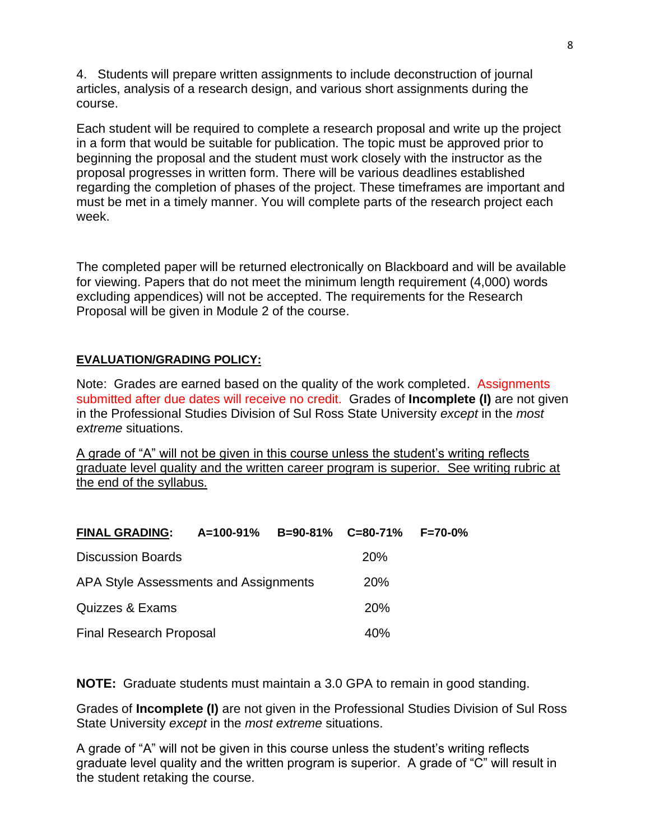4. Students will prepare written assignments to include deconstruction of journal articles, analysis of a research design, and various short assignments during the course.

Each student will be required to complete a research proposal and write up the project in a form that would be suitable for publication. The topic must be approved prior to beginning the proposal and the student must work closely with the instructor as the proposal progresses in written form. There will be various deadlines established regarding the completion of phases of the project. These timeframes are important and must be met in a timely manner. You will complete parts of the research project each week.

The completed paper will be returned electronically on Blackboard and will be available for viewing. Papers that do not meet the minimum length requirement (4,000) words excluding appendices) will not be accepted. The requirements for the Research Proposal will be given in Module 2 of the course.

# **EVALUATION/GRADING POLICY:**

Note: Grades are earned based on the quality of the work completed. Assignments submitted after due dates will receive no credit. Grades of **Incomplete (I)** are not given in the Professional Studies Division of Sul Ross State University *except* in the *most extreme* situations.

A grade of "A" will not be given in this course unless the student's writing reflects graduate level quality and the written career program is superior. See writing rubric at the end of the syllabus.

| <b>FINAL GRADING:</b>                 | A=100-91%  |  | B=90-81% C=80-71% | $F = 70 - 0%$ |
|---------------------------------------|------------|--|-------------------|---------------|
| <b>Discussion Boards</b>              |            |  | <b>20%</b>        |               |
| APA Style Assessments and Assignments | <b>20%</b> |  |                   |               |
| Quizzes & Exams                       |            |  | <b>20%</b>        |               |
| <b>Final Research Proposal</b>        |            |  | 40%               |               |

**NOTE:** Graduate students must maintain a 3.0 GPA to remain in good standing.

Grades of **Incomplete (I)** are not given in the Professional Studies Division of Sul Ross State University *except* in the *most extreme* situations.

A grade of "A" will not be given in this course unless the student's writing reflects graduate level quality and the written program is superior. A grade of "C" will result in the student retaking the course.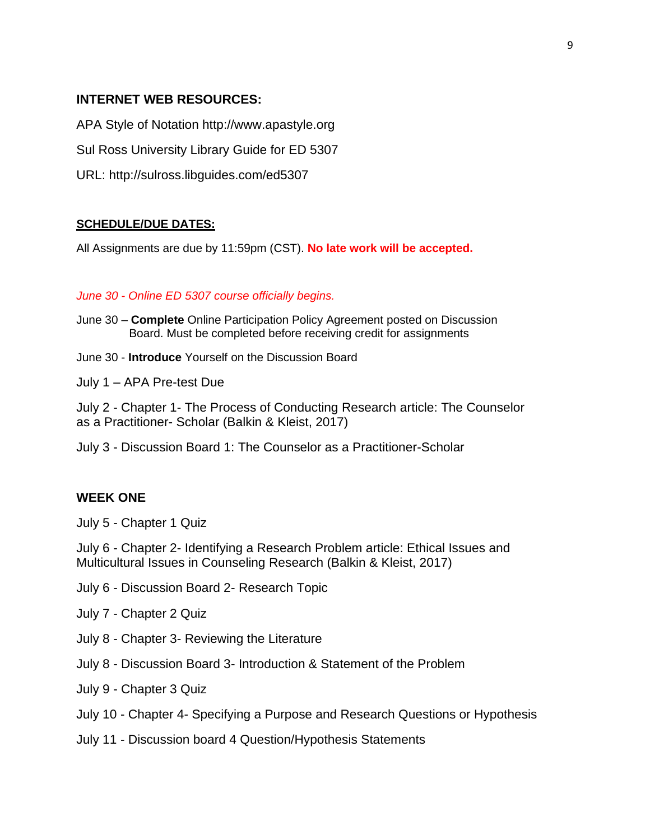## **INTERNET WEB RESOURCES:**

APA Style of Notation http://www.apastyle.org

Sul Ross University Library Guide for ED 5307

URL: http://sulross.libguides.com/ed5307

#### **SCHEDULE/DUE DATES:**

All Assignments are due by 11:59pm (CST). **No late work will be accepted.** 

#### *June 30 - Online ED 5307 course officially begins.*

- June 30 **Complete** Online Participation Policy Agreement posted on Discussion Board. Must be completed before receiving credit for assignments
- June 30 **Introduce** Yourself on the Discussion Board

July 1 – APA Pre-test Due

July 2 - Chapter 1- The Process of Conducting Research article: The Counselor as a Practitioner- Scholar (Balkin & Kleist, 2017)

July 3 - Discussion Board 1: The Counselor as a Practitioner-Scholar

# **WEEK ONE**

July 5 - Chapter 1 Quiz

July 6 - Chapter 2- Identifying a Research Problem article: Ethical Issues and Multicultural Issues in Counseling Research (Balkin & Kleist, 2017)

July 6 - Discussion Board 2- Research Topic

July 7 - Chapter 2 Quiz

- July 8 Chapter 3- Reviewing the Literature
- July 8 Discussion Board 3- Introduction & Statement of the Problem
- July 9 Chapter 3 Quiz
- July 10 Chapter 4- Specifying a Purpose and Research Questions or Hypothesis
- July 11 Discussion board 4 Question/Hypothesis Statements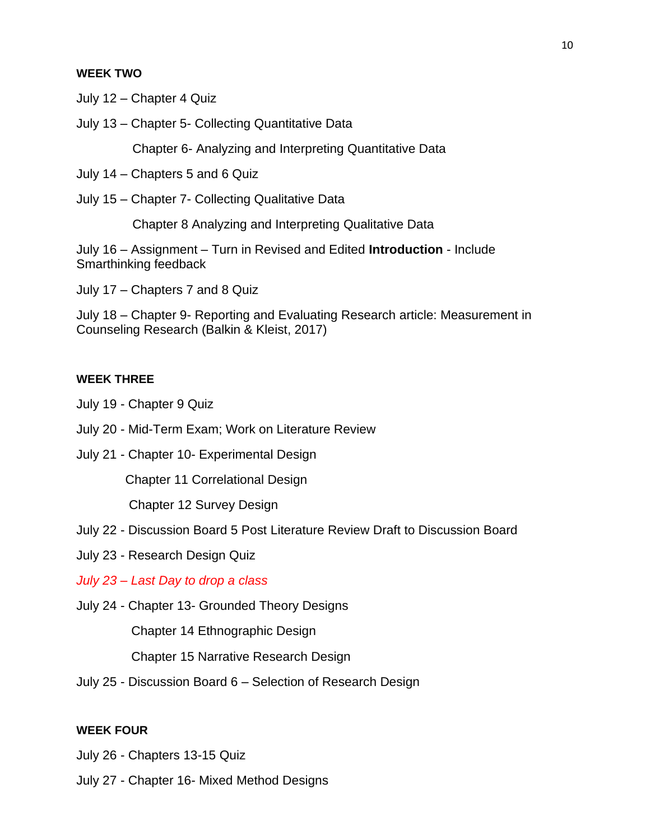#### **WEEK TWO**

July 12 – Chapter 4 Quiz

July 13 – Chapter 5- Collecting Quantitative Data

Chapter 6- Analyzing and Interpreting Quantitative Data

July 14 – Chapters 5 and 6 Quiz

July 15 – Chapter 7- Collecting Qualitative Data

Chapter 8 Analyzing and Interpreting Qualitative Data

July 16 – Assignment – Turn in Revised and Edited **Introduction** - Include Smarthinking feedback

July 17 – Chapters 7 and 8 Quiz

July 18 – Chapter 9- Reporting and Evaluating Research article: Measurement in Counseling Research (Balkin & Kleist, 2017)

## **WEEK THREE**

- July 19 Chapter 9 Quiz
- July 20 Mid-Term Exam; Work on Literature Review
- July 21 Chapter 10- Experimental Design

Chapter 11 Correlational Design

Chapter 12 Survey Design

- July 22 Discussion Board 5 Post Literature Review Draft to Discussion Board
- July 23 Research Design Quiz

*July 23 – Last Day to drop a class*

July 24 - Chapter 13- Grounded Theory Designs

Chapter 14 Ethnographic Design

Chapter 15 Narrative Research Design

July 25 - Discussion Board 6 – Selection of Research Design

#### **WEEK FOUR**

- July 26 Chapters 13-15 Quiz
- July 27 Chapter 16- Mixed Method Designs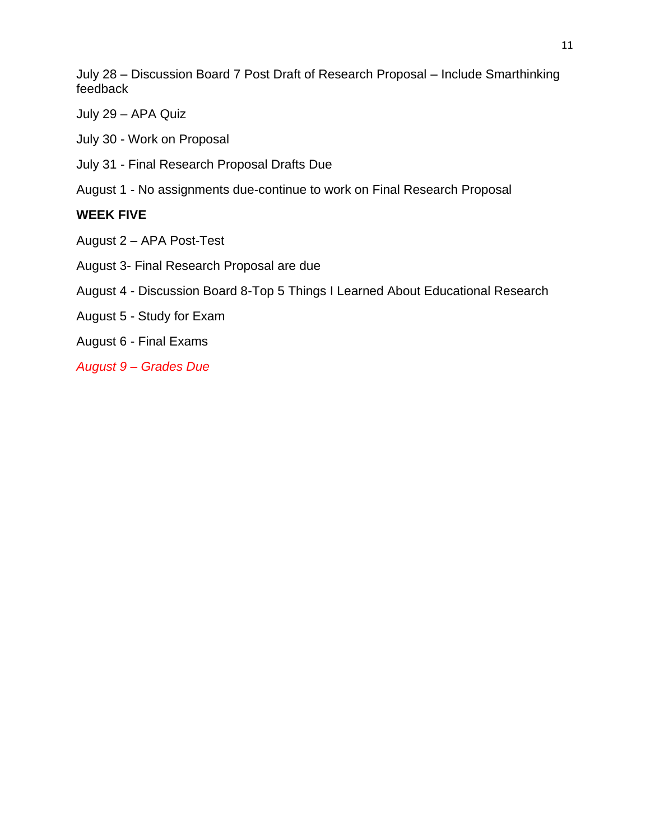July 28 – Discussion Board 7 Post Draft of Research Proposal – Include Smarthinking feedback

- July 29 APA Quiz
- July 30 Work on Proposal
- July 31 Final Research Proposal Drafts Due
- August 1 No assignments due-continue to work on Final Research Proposal

## **WEEK FIVE**

- August 2 APA Post-Test
- August 3- Final Research Proposal are due
- August 4 Discussion Board 8-Top 5 Things I Learned About Educational Research
- August 5 Study for Exam
- August 6 Final Exams
- *August 9 – Grades Due*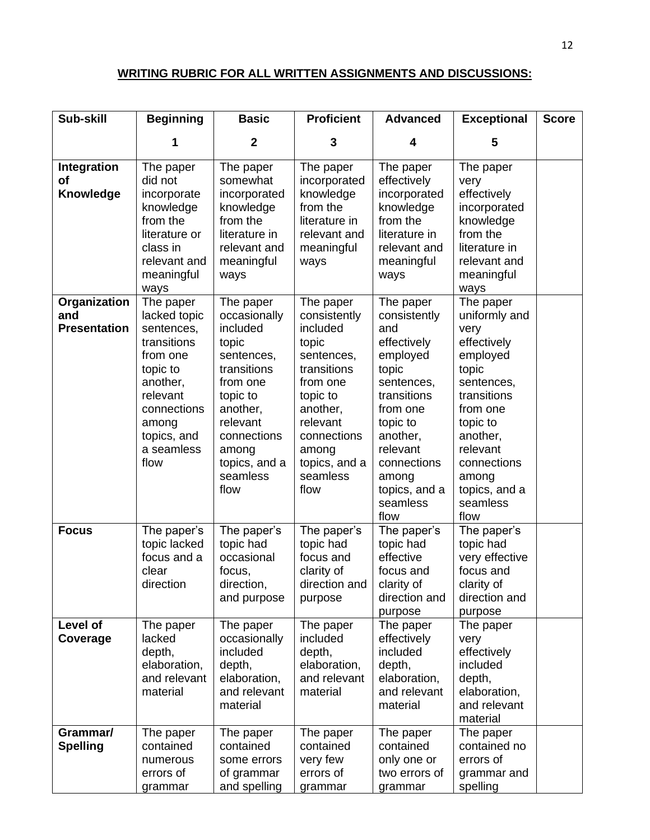# **WRITING RUBRIC FOR ALL WRITTEN ASSIGNMENTS AND DISCUSSIONS:**

| Sub-skill                                  | <b>Beginning</b>                                                                                                                                                    | <b>Basic</b>                                                                                                                                                                             | <b>Proficient</b>                                                                                                                                                                        | <b>Advanced</b>                                                                                                                                                                                                | <b>Exceptional</b>                                                                                                                                                                                               | <b>Score</b> |
|--------------------------------------------|---------------------------------------------------------------------------------------------------------------------------------------------------------------------|------------------------------------------------------------------------------------------------------------------------------------------------------------------------------------------|------------------------------------------------------------------------------------------------------------------------------------------------------------------------------------------|----------------------------------------------------------------------------------------------------------------------------------------------------------------------------------------------------------------|------------------------------------------------------------------------------------------------------------------------------------------------------------------------------------------------------------------|--------------|
|                                            |                                                                                                                                                                     | $\mathbf{2}$                                                                                                                                                                             | 3                                                                                                                                                                                        | 4                                                                                                                                                                                                              | 5                                                                                                                                                                                                                |              |
| Integration<br><b>of</b><br>Knowledge      | The paper<br>did not<br>incorporate<br>knowledge<br>from the<br>literature or<br>class in<br>relevant and<br>meaningful<br>ways                                     | The paper<br>somewhat<br>incorporated<br>knowledge<br>from the<br>literature in<br>relevant and<br>meaningful<br>ways                                                                    | The paper<br>incorporated<br>knowledge<br>from the<br>literature in<br>relevant and<br>meaningful<br>ways                                                                                | The paper<br>effectively<br>incorporated<br>knowledge<br>from the<br>literature in<br>relevant and<br>meaningful<br>ways                                                                                       | The paper<br>very<br>effectively<br>incorporated<br>knowledge<br>from the<br>literature in<br>relevant and<br>meaningful<br>ways                                                                                 |              |
| Organization<br>and<br><b>Presentation</b> | The paper<br>lacked topic<br>sentences,<br>transitions<br>from one<br>topic to<br>another,<br>relevant<br>connections<br>among<br>topics, and<br>a seamless<br>flow | The paper<br>occasionally<br>included<br>topic<br>sentences,<br>transitions<br>from one<br>topic to<br>another,<br>relevant<br>connections<br>among<br>topics, and a<br>seamless<br>flow | The paper<br>consistently<br>included<br>topic<br>sentences,<br>transitions<br>from one<br>topic to<br>another,<br>relevant<br>connections<br>among<br>topics, and a<br>seamless<br>flow | The paper<br>consistently<br>and<br>effectively<br>employed<br>topic<br>sentences,<br>transitions<br>from one<br>topic to<br>another,<br>relevant<br>connections<br>among<br>topics, and a<br>seamless<br>flow | The paper<br>uniformly and<br>very<br>effectively<br>employed<br>topic<br>sentences,<br>transitions<br>from one<br>topic to<br>another,<br>relevant<br>connections<br>among<br>topics, and a<br>seamless<br>flow |              |
| <b>Focus</b>                               | The paper's<br>topic lacked<br>focus and a<br>clear<br>direction                                                                                                    | The paper's<br>topic had<br>occasional<br>focus,<br>direction,<br>and purpose                                                                                                            | The paper's<br>topic had<br>focus and<br>clarity of<br>direction and<br>purpose                                                                                                          | The paper's<br>topic had<br>effective<br>focus and<br>clarity of<br>direction and<br>purpose                                                                                                                   | The paper's<br>topic had<br>very effective<br>focus and<br>clarity of<br>direction and<br>purpose                                                                                                                |              |
| Level of<br>Coverage                       | The paper<br>lacked<br>depth,<br>elaboration,<br>and relevant<br>material                                                                                           | The paper<br>occasionally<br>included<br>depth,<br>elaboration,<br>and relevant<br>material                                                                                              | The paper<br>included<br>depth,<br>elaboration,<br>and relevant<br>material                                                                                                              | The paper<br>effectively<br>included<br>depth,<br>elaboration,<br>and relevant<br>material                                                                                                                     | The paper<br>very<br>effectively<br>included<br>depth,<br>elaboration,<br>and relevant<br>material                                                                                                               |              |
| Grammar/<br><b>Spelling</b>                | The paper<br>contained<br>numerous<br>errors of<br>grammar                                                                                                          | The paper<br>contained<br>some errors<br>of grammar<br>and spelling                                                                                                                      | The paper<br>contained<br>very few<br>errors of<br>grammar                                                                                                                               | The paper<br>contained<br>only one or<br>two errors of<br>grammar                                                                                                                                              | The paper<br>contained no<br>errors of<br>grammar and<br>spelling                                                                                                                                                |              |